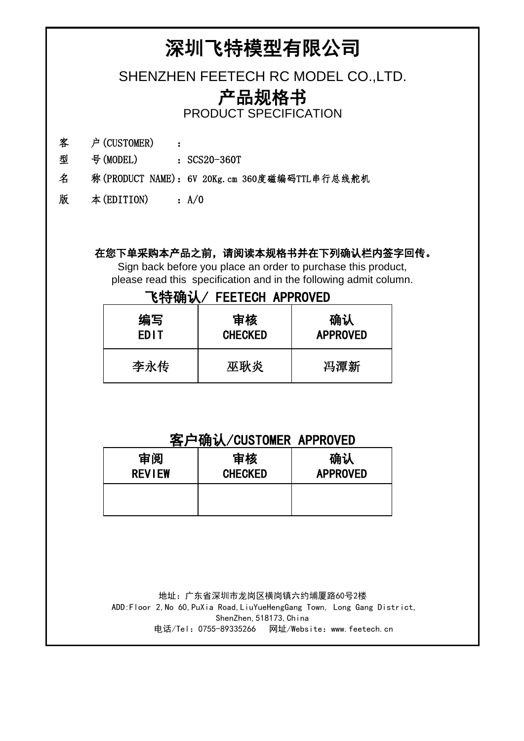## 深圳飞特模型有限公司

SHENZHEN FEETECH RC MODEL CO.,LTD.

## 产品规格书

PRODUCT SPECIFICATION

- 客 户(CUSTOMER) :
- 型 号(MODEL) : SCS20-360T
- 名 称(PRODUCT NAME):6V 20Kg.cm 360度磁编码TTL串行总线舵机
- 版 本(EDITION) :A/0

#### 在您下单采购本产品之前,请阅读本规格书并在下列确认栏内签字回传。

Sign back before you place an order to purchase this product, please read this specification and in the following admit column.

#### 飞特确认/ FEETECH APPROVED

| 编写          | 审核             | 确认              |  |
|-------------|----------------|-----------------|--|
| <b>EDIT</b> | <b>CHECKED</b> | <b>APPROVED</b> |  |
| 李永传         | 巫耿炎            | 冯潭新             |  |

### 客户确认/CUSTOMER APPROVED

| 审阅            | 审核             | 确认              |  |
|---------------|----------------|-----------------|--|
| <b>REVIEW</b> | <b>CHECKED</b> | <b>APPROVED</b> |  |
|               |                |                 |  |

 地址:广东省深圳市龙岗区横岗镇六约埔厦路60号2楼 ADD:Floor 2,No 60,PuXia Road,LiuYueHengGang Town, Long Gang District, ShenZhen, 518173, China 电话/Tel:0755-89335266 网址/Website:www.feetech.cn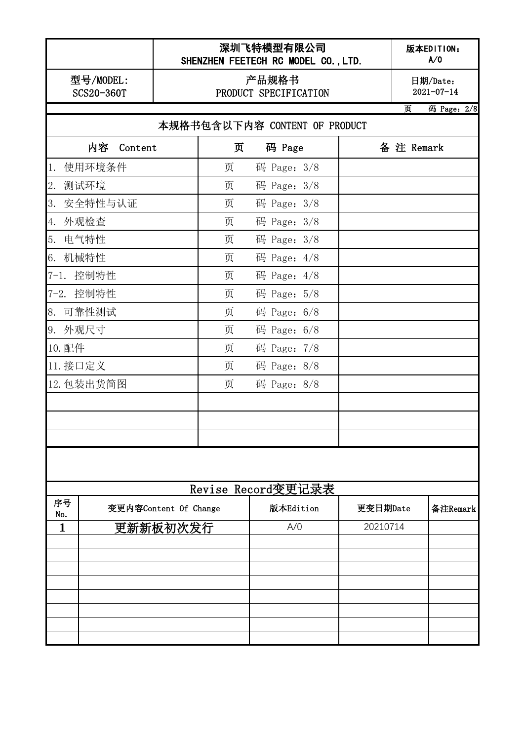|            |                         |          | SHENZHEN FEETECH RC MODEL CO., LTD. | 深圳飞特模型有限公司    |  |            |                              | 版本EDITION:<br>A/0 |
|------------|-------------------------|----------|-------------------------------------|---------------|--|------------|------------------------------|-------------------|
|            | 型号/MODEL:<br>SCS20-360T |          | 产品规格书<br>PRODUCT SPECIFICATION      |               |  |            | 日期/Date:<br>$2021 - 07 - 14$ |                   |
|            |                         |          |                                     |               |  |            | 页                            | 码 Page: 2/8       |
|            |                         |          | 本规格书包含以下内容 CONTENT OF PRODUCT       |               |  |            |                              |                   |
|            | 内容<br>Content           |          | 页                                   | 码 Page        |  | 备 注 Remark |                              |                   |
| 1.         | 使用环境条件                  |          | 页                                   | 码 Page: $3/8$ |  |            |                              |                   |
| 2.<br>测试环境 |                         |          | 页                                   | 码 Page: 3/8   |  |            |                              |                   |
| 3.         | 安全特性与认证                 |          | 页                                   | 码 Page: 3/8   |  |            |                              |                   |
| 外观检查<br>4. |                         |          | 页                                   | 码 Page: 3/8   |  |            |                              |                   |
| 5.<br>电气特性 |                         |          | 页                                   | 码 Page: $3/8$ |  |            |                              |                   |
| 6.<br>机械特性 |                         |          | 页                                   | 码 Page: $4/8$ |  |            |                              |                   |
| $7 - 1.$   | 控制特性                    |          | 页                                   | 码 Page: 4/8   |  |            |                              |                   |
| 7-2. 控制特性  |                         |          | 页                                   | 码 Page: 5/8   |  |            |                              |                   |
| 8. 可靠性测试   |                         |          | 页                                   | 码 Page: 6/8   |  |            |                              |                   |
| 9. 外观尺寸    |                         |          | 页                                   | 码 Page: $6/8$ |  |            |                              |                   |
| 10. 配件     |                         |          | 页                                   | 码 Page: 7/8   |  |            |                              |                   |
| 11. 接口定义   |                         |          | 页                                   | 码 Page: $8/8$ |  |            |                              |                   |
|            | 12. 包装出货简图              |          | 页                                   | 码 Page: $8/8$ |  |            |                              |                   |
|            |                         |          |                                     |               |  |            |                              |                   |
|            |                         |          |                                     |               |  |            |                              |                   |
|            |                         |          |                                     |               |  |            |                              |                   |
|            |                         |          |                                     |               |  |            |                              |                   |
|            |                         |          | Revise Record变更记录表                  |               |  |            |                              |                   |
| 序号<br>No.  | 变更内容Content Of Change   |          |                                     | 版本Edition     |  | 更变日期Date   |                              | 备注Remark          |
| 1          |                         | 更新新板初次发行 |                                     | A/O           |  | 20210714   |                              |                   |
|            |                         |          |                                     |               |  |            |                              |                   |
|            |                         |          |                                     |               |  |            |                              |                   |
|            |                         |          |                                     |               |  |            |                              |                   |
|            |                         |          |                                     |               |  |            |                              |                   |
|            |                         |          |                                     |               |  |            |                              |                   |
|            |                         |          |                                     |               |  |            |                              |                   |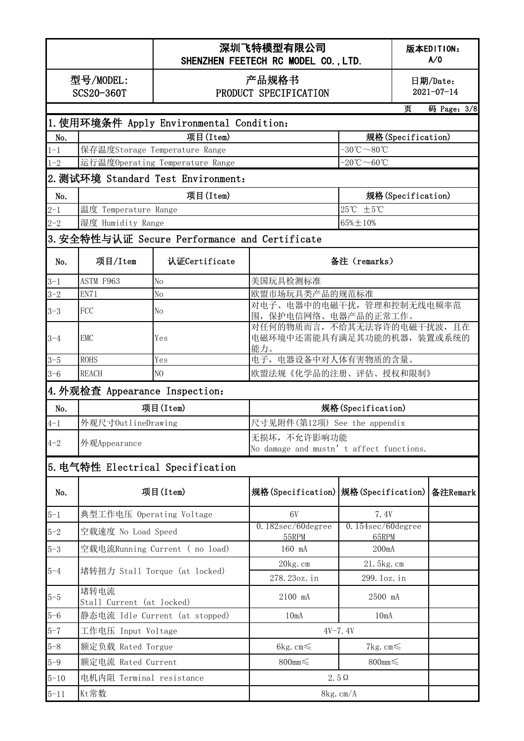|          |                                                                          | 深圳飞特模型有限公司<br>SHENZHEN FEETECH RC MODEL CO., LTD. |                                                               |                                               |                   | 版本EDITION:<br>A/0            |  |  |
|----------|--------------------------------------------------------------------------|---------------------------------------------------|---------------------------------------------------------------|-----------------------------------------------|-------------------|------------------------------|--|--|
|          | 型号/MODEL:<br>SCS20-360T                                                  | 产品规格书<br>PRODUCT SPECIFICATION                    |                                                               |                                               |                   | 日期/Date:<br>$2021 - 07 - 14$ |  |  |
|          | 页<br>码 Page: 3/8                                                         |                                                   |                                                               |                                               |                   |                              |  |  |
|          |                                                                          | 1. 使用环境条件 Apply Environmental Condition:          |                                                               |                                               |                   |                              |  |  |
| No.      |                                                                          | 项目(Item)                                          |                                                               |                                               | 规格(Specification) |                              |  |  |
| $1 - 1$  |                                                                          | 保存温度Storage Temperature Range                     |                                                               | $-30^{\circ}\text{C} \sim 80^{\circ}\text{C}$ |                   |                              |  |  |
| $1 - 2$  |                                                                          | 运行温度Operating Temperature Range                   |                                                               | $-20^{\circ}\text{C} \sim 60^{\circ}\text{C}$ |                   |                              |  |  |
|          |                                                                          | 2. 测试环境 Standard Test Environment:                |                                                               |                                               |                   |                              |  |  |
| No.      |                                                                          | 项目(Item)                                          |                                                               | 规格(Specification)                             |                   |                              |  |  |
| $2 - 1$  | 温度 Temperature Range                                                     |                                                   | $25^{\circ}$ C ±5°C                                           |                                               |                   |                              |  |  |
| $2 - 2$  | 湿度 Humidity Range                                                        |                                                   |                                                               | $65\% \pm 10\%$                               |                   |                              |  |  |
|          |                                                                          | 3.安全特性与认证 Secure Performance and Certificate      |                                                               |                                               |                   |                              |  |  |
| No.      | 项目/Item                                                                  | 认证Certificate                                     |                                                               | 备注 (remarks)                                  |                   |                              |  |  |
| $3 - 1$  | ASTM F963                                                                | No                                                | 美国玩具检测标准                                                      |                                               |                   |                              |  |  |
| $3 - 2$  | EN71                                                                     | No                                                | 欧盟市场玩具类产品的规范标准                                                |                                               |                   |                              |  |  |
| $3 - 3$  | FCC                                                                      | Nо                                                | 对电子、电器中的电磁干扰,管理和控制无线电频率范<br>围, 保护电信网络、电器产品的正常工作。              |                                               |                   |                              |  |  |
| $3 - 4$  | <b>EMC</b>                                                               | Yes                                               | 对任何的物质而言,不给其无法容许的电磁干扰波,且在<br>电磁环境中还需能具有满足其功能的机器,装置或系统的<br>能力。 |                                               |                   |                              |  |  |
| $3 - 5$  | <b>ROHS</b>                                                              | Yes                                               | 电子, 电器设备中对人体有害物质的含量。                                          |                                               |                   |                              |  |  |
| $3 - 6$  | <b>REACH</b>                                                             | N <sub>O</sub>                                    | 欧盟法规《化学品的注册、评估、授权和限制》                                         |                                               |                   |                              |  |  |
|          | 4. 外观检查 Appearance Inspection:                                           |                                                   |                                                               |                                               |                   |                              |  |  |
| No.      | 项目(Item)<br>规格(Specification)                                            |                                                   |                                                               |                                               |                   |                              |  |  |
| $4 - 1$  | 尺寸见附件(第12项) See the appendix<br>外观尺寸OutlineDrawing                       |                                                   |                                                               |                                               |                   |                              |  |  |
| $4 - 2$  | 无损坏, 不允许影响功能<br>外观Appearance<br>No damage and mustn' t affect functions. |                                                   |                                                               |                                               |                   |                              |  |  |
|          | 5. 电气特性 Electrical Specification                                         |                                                   |                                                               |                                               |                   |                              |  |  |
| No.      | 项目(Item)                                                                 |                                                   | 规格(Specification)   规格(Specification)                         |                                               |                   | 备注Remark                     |  |  |
| $5 - 1$  | 典型工作电压 Operating Voltage                                                 |                                                   | 6V                                                            | 7.4V                                          |                   |                              |  |  |
| $5 - 2$  | 空载速度 No Load Speed                                                       |                                                   | $0.182$ sec/60degree<br>55RPM                                 | $0.154$ sec/60degree<br>65RPM                 |                   |                              |  |  |
| $5 - 3$  |                                                                          | 空载电流Running Current ( no load)                    | 160 mA                                                        | 200mA                                         |                   |                              |  |  |
|          |                                                                          |                                                   | 20kg.cm                                                       | 21.5kg.cm                                     |                   |                              |  |  |
| $5 - 4$  | 堵转扭力 Stall Torque (at locked)                                            |                                                   | 278.23oz.in                                                   | 299. loz. in                                  |                   |                              |  |  |
| $5 - 5$  | 堵转电流<br>Stall Current (at locked)                                        |                                                   | 2100 mA                                                       | 2500 mA                                       |                   |                              |  |  |
| $5 - 6$  | 静态电流 Idle Current (at stopped)                                           |                                                   | 10mA                                                          | 10mA                                          |                   |                              |  |  |
| $5 - 7$  | 工作电压 Input Voltage                                                       |                                                   | $4V - 7.4V$                                                   |                                               |                   |                              |  |  |
| $5 - 8$  | 额定负载 Rated Torgue                                                        |                                                   | 6kg. cm $\leq$                                                | 7kg. cm $\leq$                                |                   |                              |  |  |
| $5 - 9$  | 额定电流 Rated Current                                                       |                                                   | 800mm $\leq$                                                  | 800mm $\leq$                                  |                   |                              |  |  |
| $5 - 10$ | 电机内阻 Terminal resistance                                                 |                                                   | $2.5\Omega$                                                   |                                               |                   |                              |  |  |
| $5 - 11$ | Kt常数                                                                     |                                                   | 8kg.cm/A                                                      |                                               |                   |                              |  |  |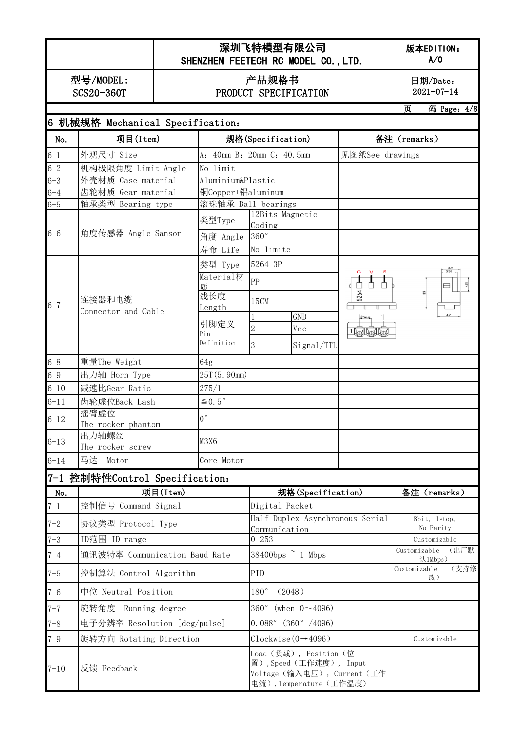#### 深圳飞特模型有限公司 SHENZHEN FEETECH RC MODEL CO., LTD.

版本EDITION: A/0

型号/MODEL: SCS20-360T

#### 产品规格书 PRODUCT SPECIFICATION

日期/Date:  $2021 - 07 - 14$ 

页 码 Page:4/8

|          | 6 机械规格 Mechanical Specification: |                           |                                                                                                            |                 |                                                                        |
|----------|----------------------------------|---------------------------|------------------------------------------------------------------------------------------------------------|-----------------|------------------------------------------------------------------------|
| No.      | 项目(Item)                         | 规格(Specification)         |                                                                                                            | 备注 (remarks)    |                                                                        |
| $6 - 1$  | 外观尺寸 Size                        | A: 40mm B: 20mm C: 40.5mm |                                                                                                            | 见图纸See drawings |                                                                        |
| $6 - 2$  | 机构极限角度 Limit Angle               | No limit                  |                                                                                                            |                 |                                                                        |
| $6 - 3$  | 外壳材质 Case material               | Aluminium&Plastic         |                                                                                                            |                 |                                                                        |
| $6 - 4$  | 齿轮材质 Gear material               | 铜Copper+铝aluminum         |                                                                                                            |                 |                                                                        |
| $6 - 5$  | 轴承类型 Bearing type                |                           | 滚珠轴承 Ball bearings                                                                                         |                 |                                                                        |
|          |                                  | 类型Type                    | 12Bits Magnetic<br>Coding                                                                                  |                 |                                                                        |
| $6 - 6$  | 角度传感器 Angle Sansor               | 角度 Angle                  | $360^{\circ}$                                                                                              |                 |                                                                        |
|          |                                  | 寿命 Life                   | No limite                                                                                                  |                 |                                                                        |
|          |                                  | 类型 Type                   | 5264-3P                                                                                                    |                 | $\begin{array}{ c c } \hline 3.9 \\ \hline 3.30 \\ \hline \end{array}$ |
|          |                                  | Material材                 | PP                                                                                                         |                 |                                                                        |
|          |                                  | 乕                         |                                                                                                            |                 | ⊟                                                                      |
| $6 - 7$  | 连接器和电缆                           | 线长度                       | 15CM                                                                                                       | 5264            |                                                                        |
|          | Connector and Cable              | <u>Length</u>             | <b>GND</b>                                                                                                 |                 |                                                                        |
|          |                                  | 引脚定义                      | $\overline{2}$<br>Vcc                                                                                      |                 |                                                                        |
|          |                                  | Pin<br>Definition         |                                                                                                            | 191919          |                                                                        |
|          |                                  |                           | 3<br>Signal/TTL                                                                                            |                 |                                                                        |
| $6 - 8$  | 重量The Weight                     | 64g                       |                                                                                                            |                 |                                                                        |
| $6 - 9$  | 出力轴 Horn Type                    | 25T (5.90mm)              |                                                                                                            |                 |                                                                        |
| $6 - 10$ | 减速比Gear Ratio                    | 275/1                     |                                                                                                            |                 |                                                                        |
| $6 - 11$ | 齿轮虚位Back Lash                    | $\leq 0.5^{\circ}$        |                                                                                                            |                 |                                                                        |
| $6 - 12$ | 摇臂虚位<br>The rocker phantom       | $0^{\circ}$               |                                                                                                            |                 |                                                                        |
| $6 - 13$ | 出力轴螺丝<br>The rocker screw        | M3X6                      |                                                                                                            |                 |                                                                        |
| $6 - 14$ | 马达 Motor                         | Core Motor                |                                                                                                            |                 |                                                                        |
|          | 7-1 控制特性Control Specification:   |                           |                                                                                                            |                 |                                                                        |
| No.      | 项目(Item)                         |                           | 规格(Specification)                                                                                          |                 | 备注 (remarks)                                                           |
| $7 - 1$  | 控制信号 Command Signal              |                           | Digital Packet                                                                                             |                 |                                                                        |
| $7 - 2$  | 协议类型 Protocol Type               |                           | Half Duplex Asynchronous Serial<br>Communication                                                           |                 | 8bit, 1stop,<br>No Parity                                              |
| $7 - 3$  | ID范围 ID range                    |                           | $0 - 253$                                                                                                  |                 | Customizable                                                           |
| $7 - 4$  | 通讯波特率 Communication Baud Rate    |                           | 38400bps $\degree$ 1 Mbps                                                                                  |                 | Customizable<br>(出厂默<br>认1Mbps)                                        |
| $7 - 5$  | 控制算法 Control Algorithm           |                           | PID                                                                                                        |                 | (支持修<br>Customizable<br>改)                                             |
| $7 - 6$  | 中位 Neutral Position              |                           | 180°<br>(2048)                                                                                             |                 |                                                                        |
| $7 - 7$  | 旋转角度 Running degree              |                           | 360° (when $0 \sim 4096$ )                                                                                 |                 |                                                                        |
| $7 - 8$  | 电子分辨率 Resolution [deg/pulse]     |                           | $0.088°$ $(360° / 4096)$                                                                                   |                 |                                                                        |
| $7 - 9$  | 旋转方向 Rotating Direction          |                           | Clockwise $(0-4096)$                                                                                       |                 | Customizable                                                           |
| $7 - 10$ | 反馈 Feedback                      |                           | Load (负载), Position (位<br>置),Speed (工作速度), Input<br>Voltage (输入电压), Current (工作<br>电流), Temperature (工作温度) |                 |                                                                        |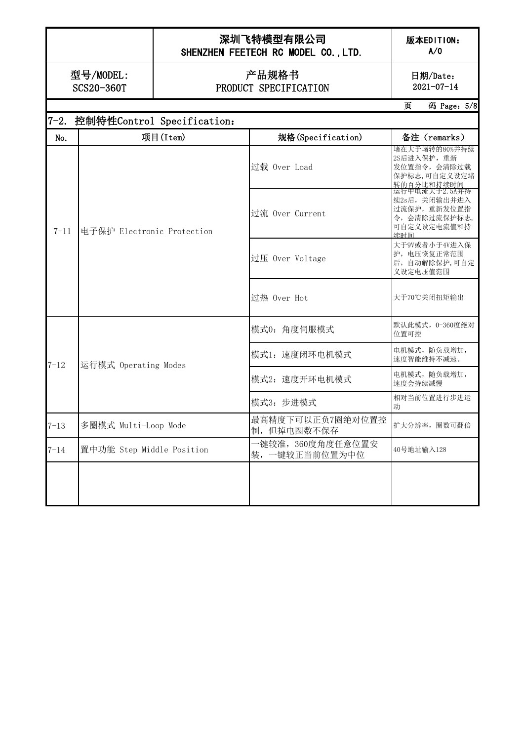# 深圳飞特模型有限公司

版本EDITION: A/0

SHENZHEN FEETECH RC MODEL CO., LTD.

日期/Date:  $2021-07-14$ 

型号/MODEL: SCS20-360T

#### 产品规格书 PRODUCT SPECIFICATION

页 码 Page:5/8

|          | 7-2. 控制特性Control Specification: |                                   |                                                                                      |  |  |  |  |
|----------|---------------------------------|-----------------------------------|--------------------------------------------------------------------------------------|--|--|--|--|
| No.      | 项目(Item)                        | 规格(Specification)                 | 备注 (remarks)                                                                         |  |  |  |  |
|          | 电子保护 Electronic Protection      | 过载 Over Load                      | 堵在大于堵转的80%并持续<br>2S后进入保护, 重新<br>发位置指令, 会清除过载<br>保护标志,可自定义设定堵<br>转的百分比和持续时间           |  |  |  |  |
| $7 - 11$ |                                 | 过流 Over Current                   | 运行中电流大于2.5A并持<br>续2s后,关闭输出并进入<br>过流保护, 重新发位置指<br>令, 会清除过流保护标志,<br>可自定义设定电流值和持<br>续时间 |  |  |  |  |
|          |                                 | 过压 Over Voltage                   | 大于9V或者小于4V进入保<br>护, 电压恢复正常范围<br>后, 自动解除保护,可自定<br>义设定电压值范围                            |  |  |  |  |
|          |                                 | 过热 Over Hot                       | 大于70℃关闭扭矩输出                                                                          |  |  |  |  |
| $7 - 12$ | 运行模式 Operating Modes            | 模式0: 角度伺服模式                       | 默认此模式, 0-360度绝对<br>位置可控                                                              |  |  |  |  |
|          |                                 | 模式1: 速度闭环电机模式                     | 电机模式, 随负载增加,<br>速度智能维持不减速。                                                           |  |  |  |  |
|          |                                 | 模式2: 速度开环电机模式                     | 电机模式, 随负载增加,<br>速度会持续减慢                                                              |  |  |  |  |
|          |                                 | 模式3: 步进模式                         | 相对当前位置进行步进运<br>动                                                                     |  |  |  |  |
| $7 - 13$ | 多圈模式 Multi-Loop Mode            | 最高精度下可以正负7圈绝对位置控<br>制,但掉电圈数不保存    | 扩大分辨率, 圈数可翻倍                                                                         |  |  |  |  |
| $7 - 14$ | 置中功能 Step Middle Position       | -键较准,360度角度任意位置安<br>装,一键较正当前位置为中位 | 40号地址输入128                                                                           |  |  |  |  |
|          |                                 |                                   |                                                                                      |  |  |  |  |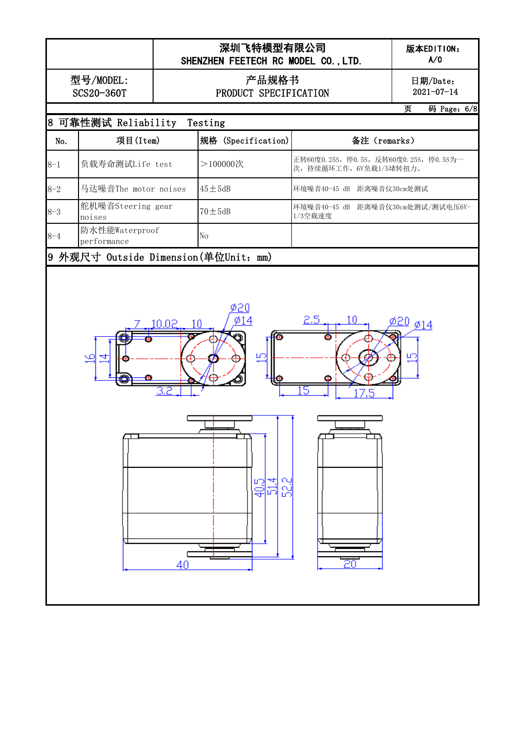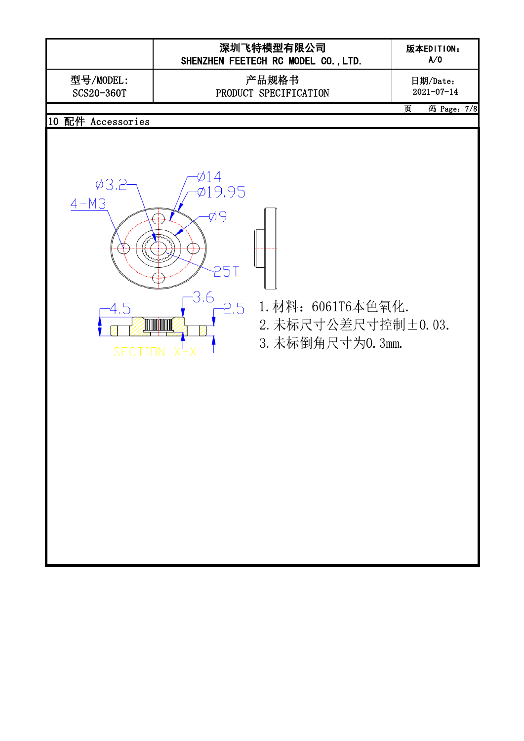